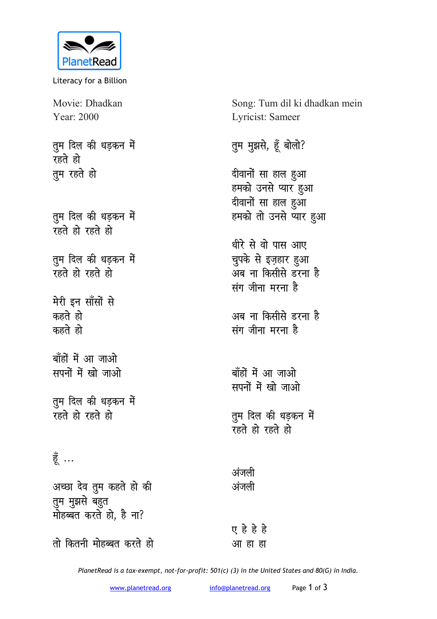

Literacy for a Billion

Movie: Dhadkan Year: 2000

तुम दिल की धड़कन में रहते हो **तूम रहते हो** 

तुम दिल की धड़कन में **v**हते हो रहते हो

तुम दिल की धड़कन में **रहते हो रहते हो** 

**मेरी इन साँसों से** कहते हो **कहते** हो

बाँहों में आ जाओ **सपनों में खो जाओ** 

तुम दिल की धड़कन में **v**हते हो रहते हो

हें ...

अच्छा देव तुम कहते हो की तुम मुझसे बहुत <sub>-</sub> मोहब्बत करते हो, है ना?

<u>तो कितनी मोहब्बत करते हो</u>

Song: Tum dil ki dhadkan mein Lyricist: Sameer

तुम मुझसे, हूँ बोलो?

दीवानों सा हाल हुआ हमको उनसे प्यार <u>ह</u>ुआ दीवानों सा हाल हुआ हमको तो उनसे प्यार <u>ह</u>ुआ

धीरे से वो पास आए चुपके से इज़हार <u>ह</u>ुआ अब ना किसीसे डरना ह<del>ै</del> संग जीना मरना **है** 

<u>अब ना किसीसे डरना है</u> **संग जीना मरना है** 

बाँहों में आ जाओ **मपनों में खो जाओ** 

तुम दिल की धड़कन मे<mark>ं</mark> **रहते हो रहते हो** 

अंजली अंजली

**, gs gs gs**  <u>आ</u> हा हा

*PlanetRead is a tax-exempt, not-for-profit: 501(c) (3) in the United States and 80(G) in India.*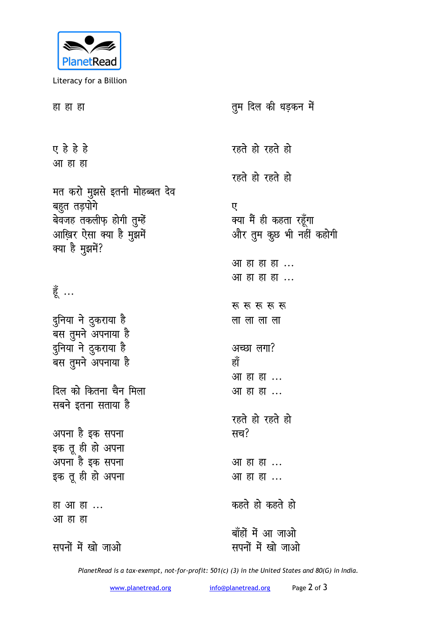

Literacy for a Billion

| हा हा हा                                   | तुम दिल की धड़कन में     |
|--------------------------------------------|--------------------------|
| ए हे हे हे                                 | रहते हो रहते हो          |
| आ हा हा                                    | रहते हो रहते हो          |
| मत करो मुझसे इतनी मोहब्बत देव              |                          |
| बहुत तड़पोगे                               | ए                        |
| बेवजह तकलीफ़ होगी तुम्हें                  | क्या मैं ही कहता रहूँगा  |
| आख़िर ऐसा क्या है मुझमें                   | और तुम कुछ भी नहीं कहोगी |
| क्या है मुझमें?                            |                          |
|                                            | आ हा हा हा               |
|                                            | आ हा हा हा               |
| हूँ                                        |                          |
|                                            | रू रू रू रू रू           |
| दुनिया ने ठुकराया है<br>बस तुमने अपनाया है | ला ला ला ला              |
| दुनिया ने टुकराया है                       | अच्छा लगा?               |
| बस तुमने अपनाया है                         | हाँ                      |
|                                            | आ हा हा                  |
| दिल को कितना चैन मिला                      | आ हा हा                  |
| सबने इतना सताया है                         |                          |
|                                            | रहते हो रहते हो          |
| अपना है इक सपना                            | सच?                      |
| इक तू ही हो अपना                           |                          |
| अपना है इक सपना                            | आ हा हा                  |
| इक तू ही हो अपना                           | आ हा हा                  |
| हा आ हा                                    | कहते हो कहते हो          |
| आ हा हा                                    |                          |
|                                            | बाँहों में आ जाओ         |
| सपनों में खो जाओ                           | सपनों में खो जाओ         |
|                                            |                          |

*PlanetRead is a tax-exempt, not-for-profit: 501(c) (3) in the United States and 80(G) in India.*